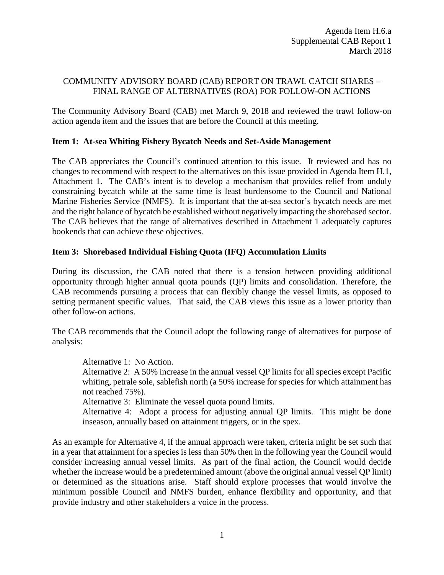# COMMUNITY ADVISORY BOARD (CAB) REPORT ON TRAWL CATCH SHARES – FINAL RANGE OF ALTERNATIVES (ROA) FOR FOLLOW-ON ACTIONS

The Community Advisory Board (CAB) met March 9, 2018 and reviewed the trawl follow-on action agenda item and the issues that are before the Council at this meeting.

## **Item 1: At-sea Whiting Fishery Bycatch Needs and Set-Aside Management**

The CAB appreciates the Council's continued attention to this issue. It reviewed and has no changes to recommend with respect to the alternatives on this issue provided in Agenda Item H.1, Attachment 1. The CAB's intent is to develop a mechanism that provides relief from unduly constraining bycatch while at the same time is least burdensome to the Council and National Marine Fisheries Service (NMFS). It is important that the at-sea sector's bycatch needs are met and the right balance of bycatch be established without negatively impacting the shorebased sector. The CAB believes that the range of alternatives described in Attachment 1 adequately captures bookends that can achieve these objectives.

## **Item 3: Shorebased Individual Fishing Quota (IFQ) Accumulation Limits**

During its discussion, the CAB noted that there is a tension between providing additional opportunity through higher annual quota pounds (QP) limits and consolidation. Therefore, the CAB recommends pursuing a process that can flexibly change the vessel limits, as opposed to setting permanent specific values. That said, the CAB views this issue as a lower priority than other follow-on actions.

The CAB recommends that the Council adopt the following range of alternatives for purpose of analysis:

Alternative 1: No Action.

Alternative 2: A 50% increase in the annual vessel QP limits for all species except Pacific whiting, petrale sole, sablefish north (a 50% increase for species for which attainment has not reached 75%).

Alternative 3: Eliminate the vessel quota pound limits.

Alternative 4: Adopt a process for adjusting annual QP limits. This might be done inseason, annually based on attainment triggers, or in the spex.

As an example for Alternative 4, if the annual approach were taken, criteria might be set such that in a year that attainment for a species is less than 50% then in the following year the Council would consider increasing annual vessel limits. As part of the final action, the Council would decide whether the increase would be a predetermined amount (above the original annual vessel QP limit) or determined as the situations arise. Staff should explore processes that would involve the minimum possible Council and NMFS burden, enhance flexibility and opportunity, and that provide industry and other stakeholders a voice in the process.